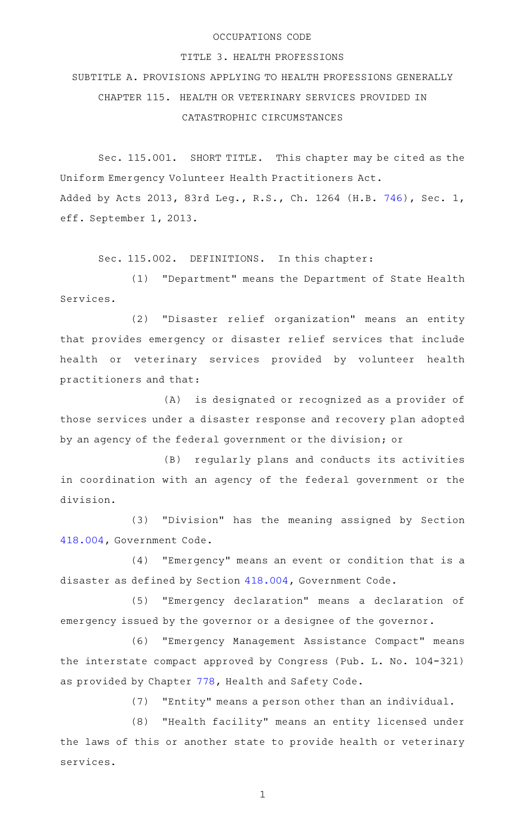## OCCUPATIONS CODE

## TITLE 3. HEALTH PROFESSIONS

SUBTITLE A. PROVISIONS APPLYING TO HEALTH PROFESSIONS GENERALLY CHAPTER 115. HEALTH OR VETERINARY SERVICES PROVIDED IN CATASTROPHIC CIRCUMSTANCES

Sec. 115.001. SHORT TITLE. This chapter may be cited as the Uniform Emergency Volunteer Health Practitioners Act. Added by Acts 2013, 83rd Leg., R.S., Ch. 1264 (H.B. [746](http://www.legis.state.tx.us/tlodocs/83R/billtext/html/HB00746F.HTM)), Sec. 1, eff. September 1, 2013.

Sec. 115.002. DEFINITIONS. In this chapter:

(1) "Department" means the Department of State Health Services.

(2) "Disaster relief organization" means an entity that provides emergency or disaster relief services that include health or veterinary services provided by volunteer health practitioners and that:

(A) is designated or recognized as a provider of those services under a disaster response and recovery plan adopted by an agency of the federal government or the division; or

(B) regularly plans and conducts its activities in coordination with an agency of the federal government or the division.

(3) "Division" has the meaning assigned by Section [418.004,](http://www.statutes.legis.state.tx.us/GetStatute.aspx?Code=GV&Value=418.004) Government Code.

 $(4)$  "Emergency" means an event or condition that is a disaster as defined by Section [418.004](http://www.statutes.legis.state.tx.us/GetStatute.aspx?Code=GV&Value=418.004), Government Code.

(5) "Emergency declaration" means a declaration of emergency issued by the governor or a designee of the governor.

(6) "Emergency Management Assistance Compact" means the interstate compact approved by Congress (Pub. L. No. 104-321) as provided by Chapter [778](http://www.statutes.legis.state.tx.us/GetStatute.aspx?Code=HS&Value=778), Health and Safety Code.

(7) "Entity" means a person other than an individual.

(8) "Health facility" means an entity licensed under the laws of this or another state to provide health or veterinary services.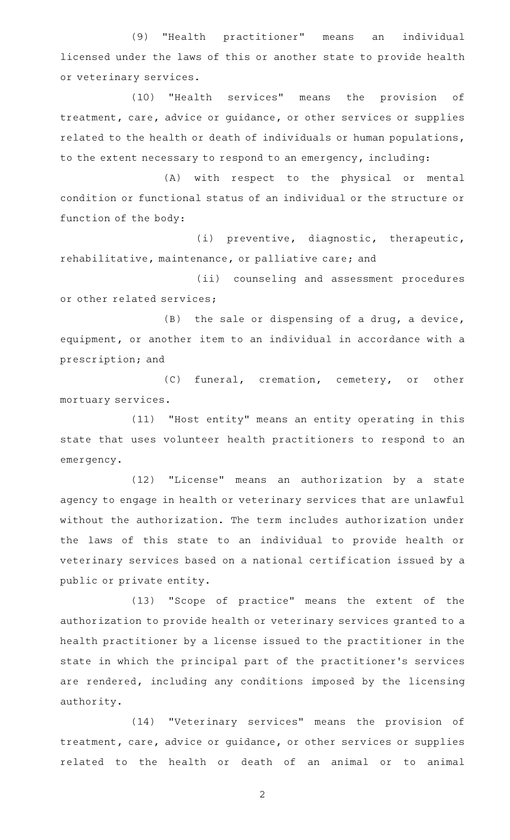(9) "Health practitioner" means an individual licensed under the laws of this or another state to provide health or veterinary services.

(10) "Health services" means the provision of treatment, care, advice or guidance, or other services or supplies related to the health or death of individuals or human populations, to the extent necessary to respond to an emergency, including:

(A) with respect to the physical or mental condition or functional status of an individual or the structure or function of the body:

(i) preventive, diagnostic, therapeutic, rehabilitative, maintenance, or palliative care; and

(ii) counseling and assessment procedures or other related services;

 $(B)$  the sale or dispensing of a drug, a device, equipment, or another item to an individual in accordance with a prescription; and

(C) funeral, cremation, cemetery, or other mortuary services.

(11) "Host entity" means an entity operating in this state that uses volunteer health practitioners to respond to an emergency.

(12) "License" means an authorization by a state agency to engage in health or veterinary services that are unlawful without the authorization. The term includes authorization under the laws of this state to an individual to provide health or veterinary services based on a national certification issued by a public or private entity.

(13) "Scope of practice" means the extent of the authorization to provide health or veterinary services granted to a health practitioner by a license issued to the practitioner in the state in which the principal part of the practitioner 's services are rendered, including any conditions imposed by the licensing authority.

(14) "Veterinary services" means the provision of treatment, care, advice or guidance, or other services or supplies related to the health or death of an animal or to animal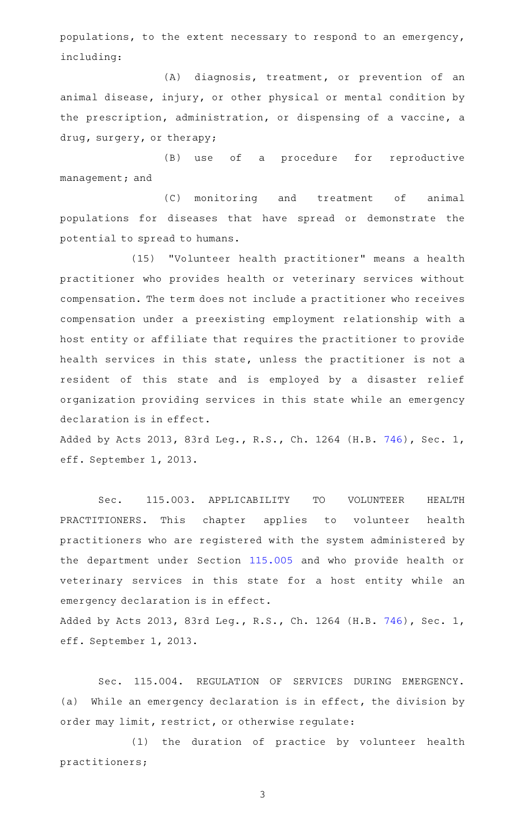populations, to the extent necessary to respond to an emergency, including:

(A) diagnosis, treatment, or prevention of an animal disease, injury, or other physical or mental condition by the prescription, administration, or dispensing of a vaccine, a drug, surgery, or therapy;

(B) use of a procedure for reproductive management; and

(C) monitoring and treatment of animal populations for diseases that have spread or demonstrate the potential to spread to humans.

(15) "Volunteer health practitioner" means a health practitioner who provides health or veterinary services without compensation. The term does not include a practitioner who receives compensation under a preexisting employment relationship with a host entity or affiliate that requires the practitioner to provide health services in this state, unless the practitioner is not a resident of this state and is employed by a disaster relief organization providing services in this state while an emergency declaration is in effect.

Added by Acts 2013, 83rd Leg., R.S., Ch. 1264 (H.B. [746](http://www.legis.state.tx.us/tlodocs/83R/billtext/html/HB00746F.HTM)), Sec. 1, eff. September 1, 2013.

Sec. 115.003. APPLICABILITY TO VOLUNTEER HEALTH PRACTITIONERS. This chapter applies to volunteer health practitioners who are registered with the system administered by the department under Section [115.005](http://www.statutes.legis.state.tx.us/GetStatute.aspx?Code=OC&Value=115.005) and who provide health or veterinary services in this state for a host entity while an emergency declaration is in effect.

Added by Acts 2013, 83rd Leg., R.S., Ch. 1264 (H.B. [746](http://www.legis.state.tx.us/tlodocs/83R/billtext/html/HB00746F.HTM)), Sec. 1, eff. September 1, 2013.

Sec. 115.004. REGULATION OF SERVICES DURING EMERGENCY. (a) While an emergency declaration is in effect, the division by order may limit, restrict, or otherwise regulate:

(1) the duration of practice by volunteer health practitioners;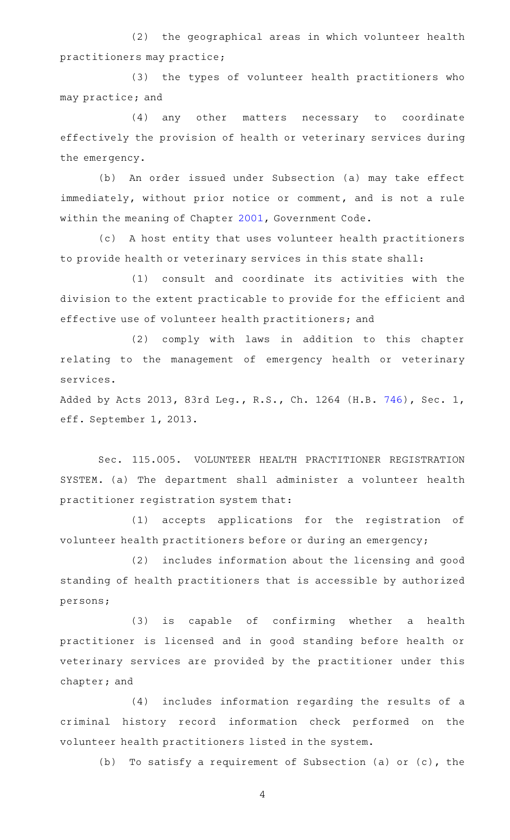(2) the geographical areas in which volunteer health practitioners may practice;

(3) the types of volunteer health practitioners who may practice; and

(4) any other matters necessary to coordinate effectively the provision of health or veterinary services during the emergency.

(b) An order issued under Subsection (a) may take effect immediately, without prior notice or comment, and is not a rule within the meaning of Chapter [2001](http://www.statutes.legis.state.tx.us/GetStatute.aspx?Code=GV&Value=2001), Government Code.

(c)AAA host entity that uses volunteer health practitioners to provide health or veterinary services in this state shall:

(1) consult and coordinate its activities with the division to the extent practicable to provide for the efficient and effective use of volunteer health practitioners; and

(2) comply with laws in addition to this chapter relating to the management of emergency health or veterinary services.

Added by Acts 2013, 83rd Leg., R.S., Ch. 1264 (H.B. [746](http://www.legis.state.tx.us/tlodocs/83R/billtext/html/HB00746F.HTM)), Sec. 1, eff. September 1, 2013.

Sec. 115.005. VOLUNTEER HEALTH PRACTITIONER REGISTRATION SYSTEM. (a) The department shall administer a volunteer health practitioner registration system that:

(1) accepts applications for the registration of volunteer health practitioners before or during an emergency;

(2) includes information about the licensing and good standing of health practitioners that is accessible by authorized persons;

(3) is capable of confirming whether a health practitioner is licensed and in good standing before health or veterinary services are provided by the practitioner under this chapter; and

(4) includes information regarding the results of a criminal history record information check performed on the volunteer health practitioners listed in the system.

(b) To satisfy a requirement of Subsection (a) or (c), the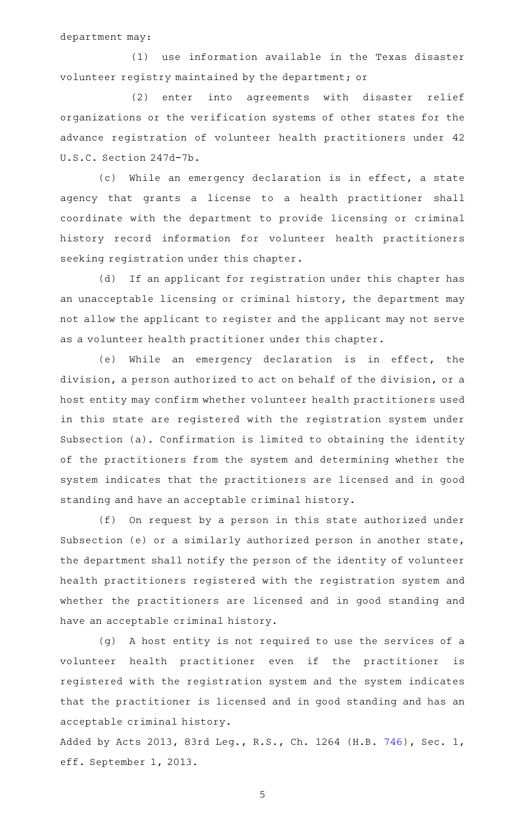department may:

(1) use information available in the Texas disaster volunteer registry maintained by the department; or

(2) enter into agreements with disaster relief organizations or the verification systems of other states for the advance registration of volunteer health practitioners under 42 U.S.C. Section 247d-7b.

(c) While an emergency declaration is in effect, a state agency that grants a license to a health practitioner shall coordinate with the department to provide licensing or criminal history record information for volunteer health practitioners seeking registration under this chapter.

(d) If an applicant for registration under this chapter has an unacceptable licensing or criminal history, the department may not allow the applicant to register and the applicant may not serve as a volunteer health practitioner under this chapter.

(e) While an emergency declaration is in effect, the division, a person authorized to act on behalf of the division, or a host entity may confirm whether volunteer health practitioners used in this state are registered with the registration system under Subsection (a). Confirmation is limited to obtaining the identity of the practitioners from the system and determining whether the system indicates that the practitioners are licensed and in good standing and have an acceptable criminal history.

(f) On request by a person in this state authorized under Subsection (e) or a similarly authorized person in another state, the department shall notify the person of the identity of volunteer health practitioners registered with the registration system and whether the practitioners are licensed and in good standing and have an acceptable criminal history.

(g) A host entity is not required to use the services of a volunteer health practitioner even if the practitioner is registered with the registration system and the system indicates that the practitioner is licensed and in good standing and has an acceptable criminal history.

Added by Acts 2013, 83rd Leg., R.S., Ch. 1264 (H.B. [746](http://www.legis.state.tx.us/tlodocs/83R/billtext/html/HB00746F.HTM)), Sec. 1, eff. September 1, 2013.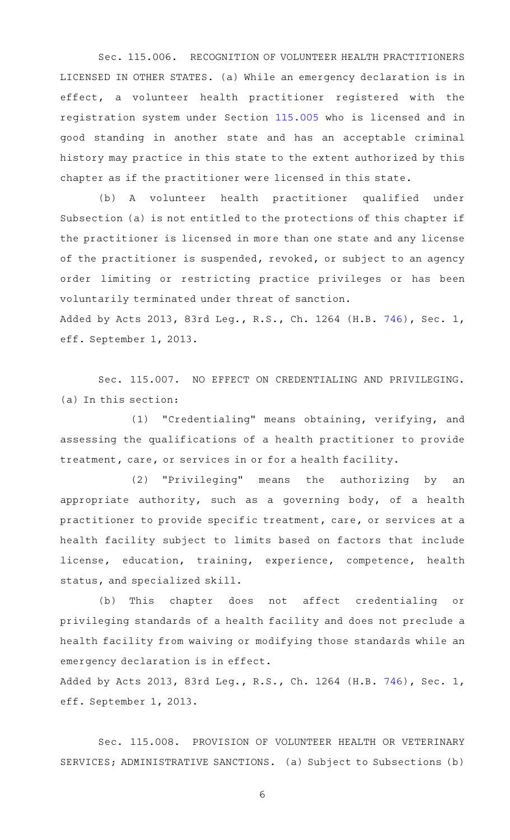Sec. 115.006. RECOGNITION OF VOLUNTEER HEALTH PRACTITIONERS LICENSED IN OTHER STATES. (a) While an emergency declaration is in effect, a volunteer health practitioner registered with the registration system under Section [115.005](http://www.statutes.legis.state.tx.us/GetStatute.aspx?Code=OC&Value=115.005) who is licensed and in good standing in another state and has an acceptable criminal history may practice in this state to the extent authorized by this chapter as if the practitioner were licensed in this state.

(b) A volunteer health practitioner qualified under Subsection (a) is not entitled to the protections of this chapter if the practitioner is licensed in more than one state and any license of the practitioner is suspended, revoked, or subject to an agency order limiting or restricting practice privileges or has been voluntarily terminated under threat of sanction.

Added by Acts 2013, 83rd Leg., R.S., Ch. 1264 (H.B. [746](http://www.legis.state.tx.us/tlodocs/83R/billtext/html/HB00746F.HTM)), Sec. 1, eff. September 1, 2013.

Sec. 115.007. NO EFFECT ON CREDENTIALING AND PRIVILEGING. (a) In this section:

(1) "Credentialing" means obtaining, verifying, and assessing the qualifications of a health practitioner to provide treatment, care, or services in or for a health facility.

(2) "Privileging" means the authorizing by an appropriate authority, such as a governing body, of a health practitioner to provide specific treatment, care, or services at a health facility subject to limits based on factors that include license, education, training, experience, competence, health status, and specialized skill.

(b) This chapter does not affect credentialing or privileging standards of a health facility and does not preclude a health facility from waiving or modifying those standards while an emergency declaration is in effect.

Added by Acts 2013, 83rd Leg., R.S., Ch. 1264 (H.B. [746](http://www.legis.state.tx.us/tlodocs/83R/billtext/html/HB00746F.HTM)), Sec. 1, eff. September 1, 2013.

Sec. 115.008. PROVISION OF VOLUNTEER HEALTH OR VETERINARY SERVICES; ADMINISTRATIVE SANCTIONS. (a) Subject to Subsections (b)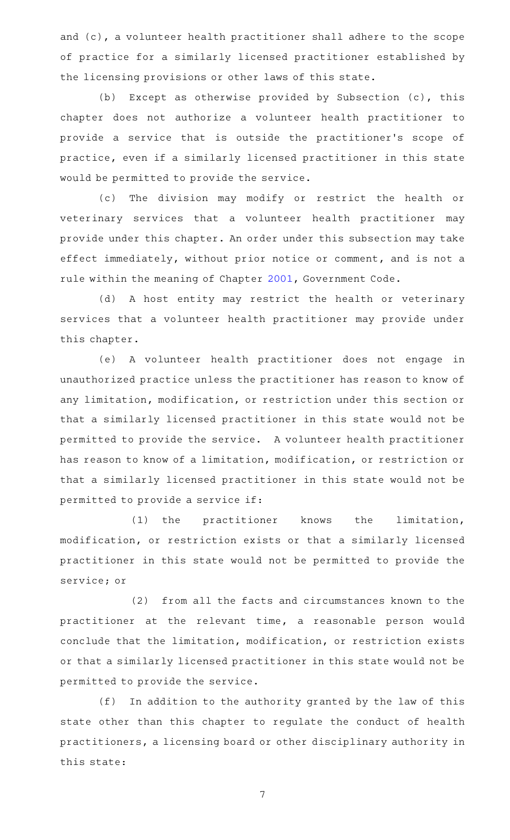and (c), a volunteer health practitioner shall adhere to the scope of practice for a similarly licensed practitioner established by the licensing provisions or other laws of this state.

(b) Except as otherwise provided by Subsection (c), this chapter does not authorize a volunteer health practitioner to provide a service that is outside the practitioner 's scope of practice, even if a similarly licensed practitioner in this state would be permitted to provide the service.

(c) The division may modify or restrict the health or veterinary services that a volunteer health practitioner may provide under this chapter. An order under this subsection may take effect immediately, without prior notice or comment, and is not a rule within the meaning of Chapter [2001](http://www.statutes.legis.state.tx.us/GetStatute.aspx?Code=GV&Value=2001), Government Code.

(d) A host entity may restrict the health or veterinary services that a volunteer health practitioner may provide under this chapter.

(e)AAA volunteer health practitioner does not engage in unauthorized practice unless the practitioner has reason to know of any limitation, modification, or restriction under this section or that a similarly licensed practitioner in this state would not be permitted to provide the service. A volunteer health practitioner has reason to know of a limitation, modification, or restriction or that a similarly licensed practitioner in this state would not be permitted to provide a service if:

(1) the practitioner knows the limitation, modification, or restriction exists or that a similarly licensed practitioner in this state would not be permitted to provide the service; or

(2) from all the facts and circumstances known to the practitioner at the relevant time, a reasonable person would conclude that the limitation, modification, or restriction exists or that a similarly licensed practitioner in this state would not be permitted to provide the service.

(f) In addition to the authority granted by the law of this state other than this chapter to regulate the conduct of health practitioners, a licensing board or other disciplinary authority in this state: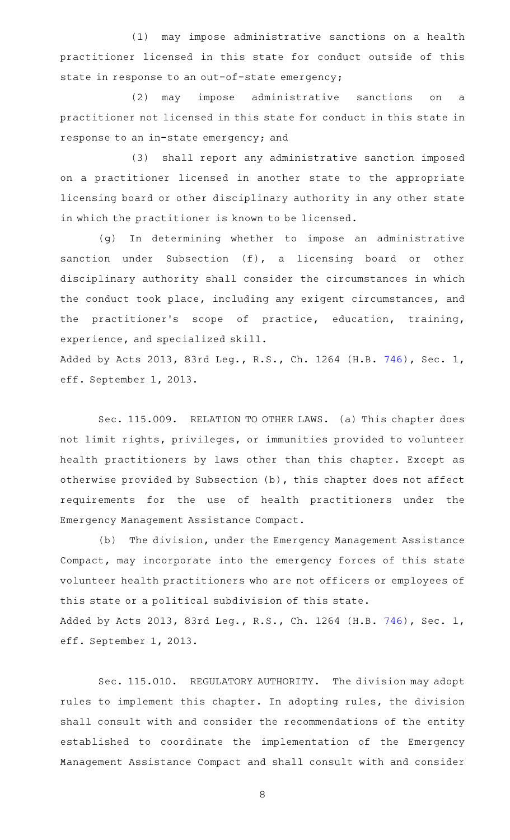(1) may impose administrative sanctions on a health practitioner licensed in this state for conduct outside of this state in response to an out-of-state emergency;

(2) may impose administrative sanctions on a practitioner not licensed in this state for conduct in this state in response to an in-state emergency; and

(3) shall report any administrative sanction imposed on a practitioner licensed in another state to the appropriate licensing board or other disciplinary authority in any other state in which the practitioner is known to be licensed.

(g) In determining whether to impose an administrative sanction under Subsection (f), a licensing board or other disciplinary authority shall consider the circumstances in which the conduct took place, including any exigent circumstances, and the practitioner's scope of practice, education, training, experience, and specialized skill.

Added by Acts 2013, 83rd Leg., R.S., Ch. 1264 (H.B. [746](http://www.legis.state.tx.us/tlodocs/83R/billtext/html/HB00746F.HTM)), Sec. 1, eff. September 1, 2013.

Sec. 115.009. RELATION TO OTHER LAWS. (a) This chapter does not limit rights, privileges, or immunities provided to volunteer health practitioners by laws other than this chapter. Except as otherwise provided by Subsection (b), this chapter does not affect requirements for the use of health practitioners under the Emergency Management Assistance Compact.

(b) The division, under the Emergency Management Assistance Compact, may incorporate into the emergency forces of this state volunteer health practitioners who are not officers or employees of this state or a political subdivision of this state. Added by Acts 2013, 83rd Leg., R.S., Ch. 1264 (H.B. [746](http://www.legis.state.tx.us/tlodocs/83R/billtext/html/HB00746F.HTM)), Sec. 1,

Sec. 115.010. REGULATORY AUTHORITY. The division may adopt

eff. September 1, 2013.

rules to implement this chapter. In adopting rules, the division shall consult with and consider the recommendations of the entity established to coordinate the implementation of the Emergency Management Assistance Compact and shall consult with and consider